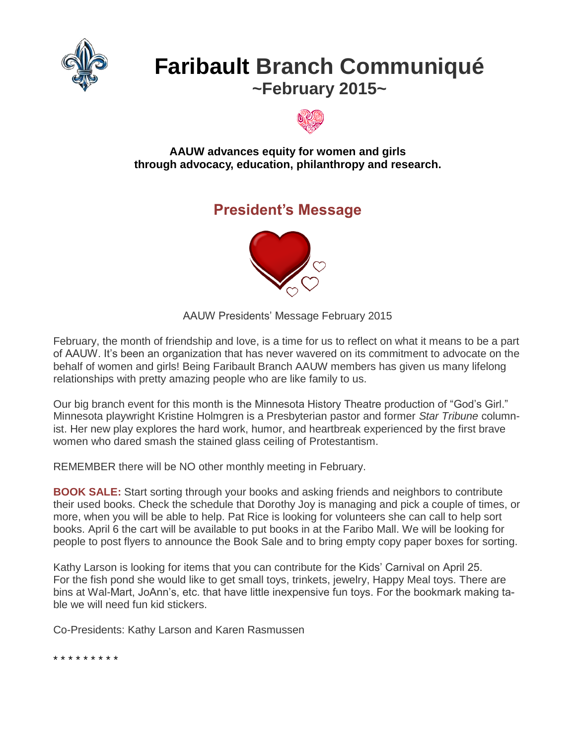

# **Faribault Branch Communiqué ~February 2015~**



#### **AAUW advances equity for women and girls through advocacy, education, philanthropy and research.**

## **President's Message**



AAUW Presidents' Message February 2015

February, the month of friendship and love, is a time for us to reflect on what it means to be a part of AAUW. It's been an organization that has never wavered on its commitment to advocate on the behalf of women and girls! Being Faribault Branch AAUW members has given us many lifelong relationships with pretty amazing people who are like family to us.

Our big branch event for this month is the Minnesota History Theatre production of "God's Girl." Minnesota playwright Kristine Holmgren is a Presbyterian pastor and former *Star Tribune* columnist. Her new play explores the hard work, humor, and heartbreak experienced by the first brave women who dared smash the stained glass ceiling of Protestantism.

REMEMBER there will be NO other monthly meeting in February.

**BOOK SALE:** Start sorting through your books and asking friends and neighbors to contribute their used books. Check the schedule that Dorothy Joy is managing and pick a couple of times, or more, when you will be able to help. Pat Rice is looking for volunteers she can call to help sort books. April 6 the cart will be available to put books in at the Faribo Mall. We will be looking for people to post flyers to announce the Book Sale and to bring empty copy paper boxes for sorting.

Kathy Larson is looking for items that you can contribute for the Kids' Carnival on April 25. For the fish pond she would like to get small toys, trinkets, jewelry, Happy Meal toys. There are bins at Wal-Mart, JoAnn's, etc. that have little inexpensive fun toys. For the bookmark making table we will need fun kid stickers.

Co-Presidents: Kathy Larson and Karen Rasmussen

\* \* \* \* \* \* \* \* \*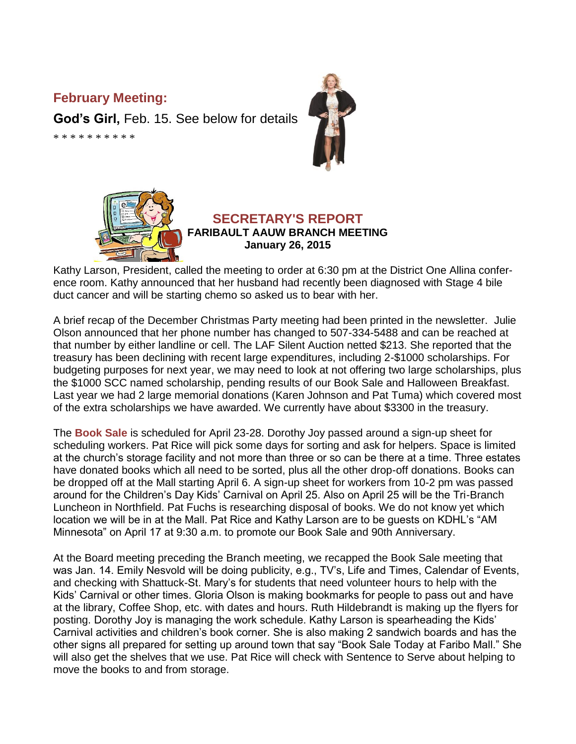#### **February Meeting:**

**God's Girl,** Feb. 15. See below for details

\* \* \* \* \* \* \* \* \* \*





#### **SECRETARY'S REPORT FARIBAULT AAUW BRANCH MEETING January 26, 2015**

Kathy Larson, President, called the meeting to order at 6:30 pm at the District One Allina conference room. Kathy announced that her husband had recently been diagnosed with Stage 4 bile duct cancer and will be starting chemo so asked us to bear with her.

A brief recap of the December Christmas Party meeting had been printed in the newsletter. Julie Olson announced that her phone number has changed to 507-334-5488 and can be reached at that number by either landline or cell. The LAF Silent Auction netted \$213. She reported that the treasury has been declining with recent large expenditures, including 2-\$1000 scholarships. For budgeting purposes for next year, we may need to look at not offering two large scholarships, plus the \$1000 SCC named scholarship, pending results of our Book Sale and Halloween Breakfast. Last year we had 2 large memorial donations (Karen Johnson and Pat Tuma) which covered most of the extra scholarships we have awarded. We currently have about \$3300 in the treasury.

The **Book Sale** is scheduled for April 23-28. Dorothy Joy passed around a sign-up sheet for scheduling workers. Pat Rice will pick some days for sorting and ask for helpers. Space is limited at the church's storage facility and not more than three or so can be there at a time. Three estates have donated books which all need to be sorted, plus all the other drop-off donations. Books can be dropped off at the Mall starting April 6. A sign-up sheet for workers from 10-2 pm was passed around for the Children's Day Kids' Carnival on April 25. Also on April 25 will be the Tri-Branch Luncheon in Northfield. Pat Fuchs is researching disposal of books. We do not know yet which location we will be in at the Mall. Pat Rice and Kathy Larson are to be guests on KDHL's "AM Minnesota" on April 17 at 9:30 a.m. to promote our Book Sale and 90th Anniversary.

At the Board meeting preceding the Branch meeting, we recapped the Book Sale meeting that was Jan. 14. Emily Nesvold will be doing publicity, e.g., TV's, Life and Times, Calendar of Events, and checking with Shattuck-St. Mary's for students that need volunteer hours to help with the Kids' Carnival or other times. Gloria Olson is making bookmarks for people to pass out and have at the library, Coffee Shop, etc. with dates and hours. Ruth Hildebrandt is making up the flyers for posting. Dorothy Joy is managing the work schedule. Kathy Larson is spearheading the Kids' Carnival activities and children's book corner. She is also making 2 sandwich boards and has the other signs all prepared for setting up around town that say "Book Sale Today at Faribo Mall." She will also get the shelves that we use. Pat Rice will check with Sentence to Serve about helping to move the books to and from storage.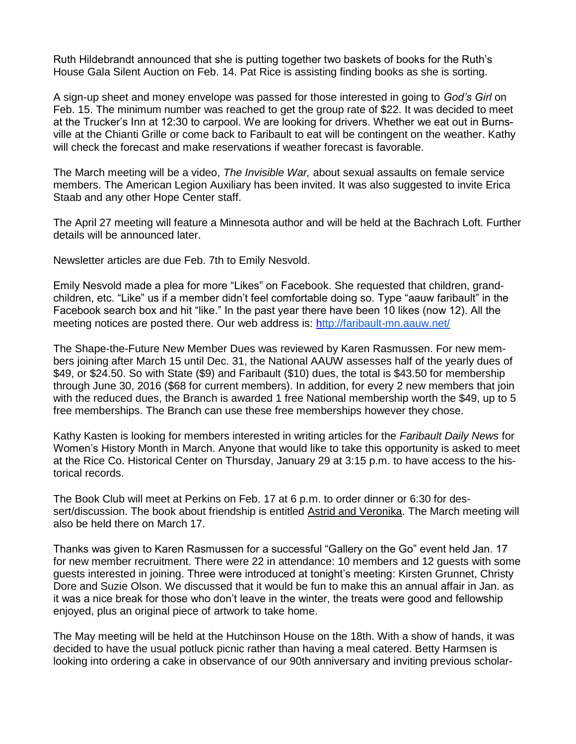Ruth Hildebrandt announced that she is putting together two baskets of books for the Ruth's House Gala Silent Auction on Feb. 14. Pat Rice is assisting finding books as she is sorting.

A sign-up sheet and money envelope was passed for those interested in going to *God's Girl* on Feb. 15. The minimum number was reached to get the group rate of \$22. It was decided to meet at the Trucker's Inn at 12:30 to carpool. We are looking for drivers. Whether we eat out in Burnsville at the Chianti Grille or come back to Faribault to eat will be contingent on the weather. Kathy will check the forecast and make reservations if weather forecast is favorable.

The March meeting will be a video, *The Invisible War,* about sexual assaults on female service members. The American Legion Auxiliary has been invited. It was also suggested to invite Erica Staab and any other Hope Center staff.

The April 27 meeting will feature a Minnesota author and will be held at the Bachrach Loft. Further details will be announced later.

Newsletter articles are due Feb. 7th to Emily Nesvold.

Emily Nesvold made a plea for more "Likes" on Facebook. She requested that children, grandchildren, etc. "Like" us if a member didn't feel comfortable doing so. Type "aauw faribault" in the Facebook search box and hit "like." In the past year there have been 10 likes (now 12). All the meeting notices are posted there. Our web address is: <http://faribault-mn.aauw.net/>

The Shape-the-Future New Member Dues was reviewed by Karen Rasmussen. For new members joining after March 15 until Dec. 31, the National AAUW assesses half of the yearly dues of \$49, or \$24.50. So with State (\$9) and Faribault (\$10) dues, the total is \$43.50 for membership through June 30, 2016 (\$68 for current members). In addition, for every 2 new members that join with the reduced dues, the Branch is awarded 1 free National membership worth the \$49, up to 5 free memberships. The Branch can use these free memberships however they chose.

Kathy Kasten is looking for members interested in writing articles for the *Faribault Daily News* for Women's History Month in March. Anyone that would like to take this opportunity is asked to meet at the Rice Co. Historical Center on Thursday, January 29 at 3:15 p.m. to have access to the historical records.

The Book Club will meet at Perkins on Feb. 17 at 6 p.m. to order dinner or 6:30 for dessert/discussion. The book about friendship is entitled **Astrid and Veronika**. The March meeting will also be held there on March 17.

Thanks was given to Karen Rasmussen for a successful "Gallery on the Go" event held Jan. 17 for new member recruitment. There were 22 in attendance: 10 members and 12 guests with some guests interested in joining. Three were introduced at tonight's meeting: Kirsten Grunnet, Christy Dore and Suzie Olson. We discussed that it would be fun to make this an annual affair in Jan. as it was a nice break for those who don't leave in the winter, the treats were good and fellowship enjoyed, plus an original piece of artwork to take home.

The May meeting will be held at the Hutchinson House on the 18th. With a show of hands, it was decided to have the usual potluck picnic rather than having a meal catered. Betty Harmsen is looking into ordering a cake in observance of our 90th anniversary and inviting previous scholar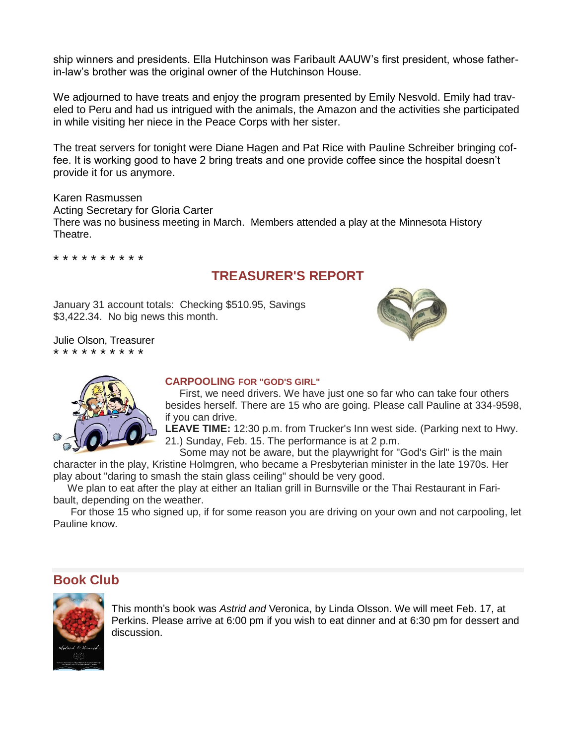ship winners and presidents. Ella Hutchinson was Faribault AAUW's first president, whose fatherin-law's brother was the original owner of the Hutchinson House.

We adjourned to have treats and enjoy the program presented by Emily Nesvold. Emily had traveled to Peru and had us intrigued with the animals, the Amazon and the activities she participated in while visiting her niece in the Peace Corps with her sister.

The treat servers for tonight were Diane Hagen and Pat Rice with Pauline Schreiber bringing coffee. It is working good to have 2 bring treats and one provide coffee since the hospital doesn't provide it for us anymore.

Karen Rasmussen Acting Secretary for Gloria Carter There was no business meeting in March. Members attended a play at the Minnesota History Theatre.

\* \* \* \* \* \* \* \* \* \*

### **TREASURER'S REPORT**

January 31 account totals: Checking \$510.95, Savings \$3,422.34. No big news this month.

Julie Olson, Treasurer \* \* \* \* \* \* \* \* \* \*





#### **CARPOOLING FOR "GOD'S GIRL"**

 First, we need drivers. We have just one so far who can take four others besides herself. There are 15 who are going. Please call Pauline at 334-9598, if you can drive.

**LEAVE TIME:** 12:30 p.m. from Trucker's Inn west side. (Parking next to Hwy. 21.) Sunday, Feb. 15. The performance is at 2 p.m.

Some may not be aware, but the playwright for "God's Girl" is the main

character in the play, Kristine Holmgren, who became a Presbyterian minister in the late 1970s. Her play about "daring to smash the stain glass ceiling" should be very good.

 We plan to eat after the play at either an Italian grill in Burnsville or the Thai Restaurant in Faribault, depending on the weather.

 For those 15 who signed up, if for some reason you are driving on your own and not carpooling, let Pauline know.

#### **Book Club**



This month's book was *Astrid and* Veronica, by Linda Olsson. We will meet Feb. 17, at Perkins. Please arrive at 6:00 pm if you wish to eat dinner and at 6:30 pm for dessert and discussion.